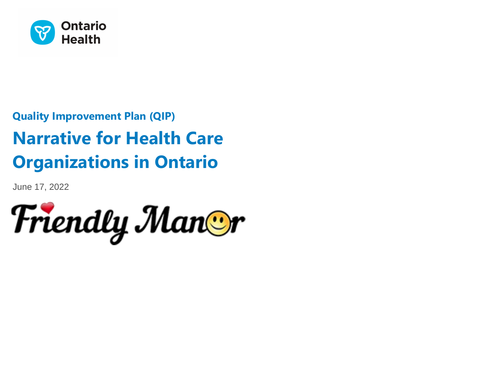

# **Quality Improvement Plan (QIP) Narrative for Health Care Organizations in Ontario**

June 17, 2022

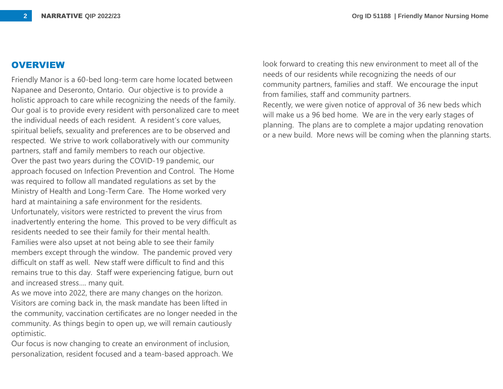#### **OVERVIEW**

Friendly Manor is a 60-bed long-term care home located between Napanee and Deseronto, Ontario. Our objective is to provide a holistic approach to care while recognizing the needs of the family. Our goal is to provide every resident with personalized care to meet the individual needs of each resident. A resident's core values, spiritual beliefs, sexuality and preferences are to be observed and respected. We strive to work collaboratively with our community partners, staff and family members to reach our objective. Over the past two years during the COVID-19 pandemic, our approach focused on Infection Prevention and Control. The Home was required to follow all mandated regulations as set by the Ministry of Health and Long-Term Care. The Home worked very hard at maintaining a safe environment for the residents. Unfortunately, visitors were restricted to prevent the virus from inadvertently entering the home. This proved to be very difficult as residents needed to see their family for their mental health. Families were also upset at not being able to see their family members except through the window. The pandemic proved very difficult on staff as well. New staff were difficult to find and this remains true to this day. Staff were experiencing fatigue, burn out and increased stress…. many quit.

As we move into 2022, there are many changes on the horizon. Visitors are coming back in, the mask mandate has been lifted in the community, vaccination certificates are no longer needed in the community. As things begin to open up, we will remain cautiously optimistic.

Our focus is now changing to create an environment of inclusion, personalization, resident focused and a team-based approach. We look forward to creating this new environment to meet all of the needs of our residents while recognizing the needs of our community partners, families and staff. We encourage the input from families, staff and community partners.

Recently, we were given notice of approval of 36 new beds which will make us a 96 bed home. We are in the very early stages of planning. The plans are to complete a major updating renovation or a new build. More news will be coming when the planning starts.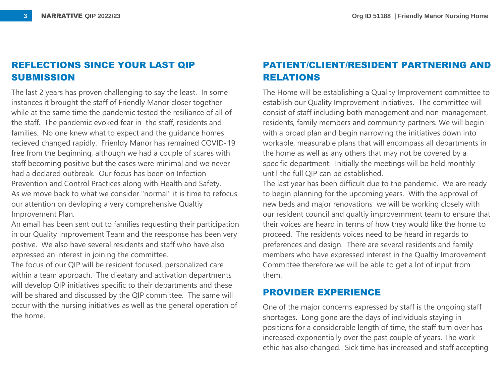## **REFLECTIONS SINCE YOUR LAST QIP SUBMISSION**

The last 2 years has proven challenging to say the least. In some instances it brought the staff of Friendly Manor closer together while at the same time the pandemic tested the resiliance of all of the staff. The pandemic evoked fear in the staff, residents and families. No one knew what to expect and the guidance homes recieved changed rapidly. Frienldy Manor has remained COVID-19 free from the beginning, although we had a couple of scares with staff becoming positive but the cases were minimal and we never had a declared outbreak. Our focus has been on Infection Prevention and Control Practices along with Health and Safety. As we move back to what we consider "normal" it is time to refocus our attention on devloping a very comprehensive Qualtiy Improvement Plan.

An email has been sent out to families requesting their participation in our Quality Improvement Team and the reesponse has been very postive. We also have several residents and staff who have also ezpressed an interest in joining the committee.

The focus of our QIP will be resident focused, personalized care within a team approach. The dieatary and activation departments will develop QIP initiatives specific to their departments and these will be shared and discussed by the QIP committee. The same will occur with the nursing initiatives as well as the general operation of the home.

# **PATIENT/CLIENT/RESIDENT PARTNERING AND RELATIONS**

The Home will be establishing a Quality Improvement committee to establish our Quality Improvement initiatives. The committee will consist of staff including both management and non-management, residents, family members and community partners. We will begin with a broad plan and begin narrowing the initiatives down into workable, measurable plans that will encompass all departments in the home as well as any others that may not be covered by a specific department. Initially the meetings will be held monthly until the full QIP can be established.

The last year has been difficult due to the pandemic. We are ready to begin planning for the upcoming years. With the approval of new beds and major renovations we will be working closely with our resident council and qualtiy improvemment team to ensure that their voices are heard in terms of how they would like the home to proceed. The residents voices need to be heard in regards to preferences and design. There are several residents and family members who have expressed interest in the Qualtiy Improvement Committee therefore we will be able to get a lot of input from them.

## **PROVIDER EXPERIENCE**

One of the major concerns expressed by staff is the ongoing staff shortages. Long gone are the days of individuals staying in positions for a considerable length of time, the staff turn over has increased exponentially over the past couple of years. The work ethic has also changed. Sick time has increased and staff accepting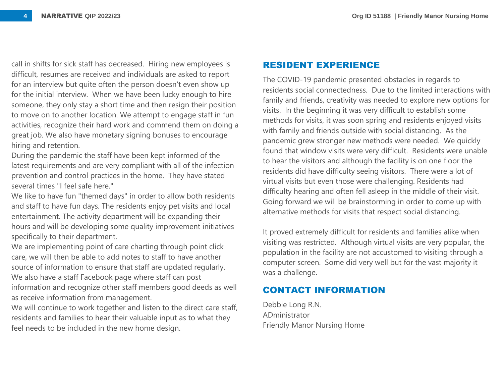call in shifts for sick staff has decreased. Hiring new employees is difficult, resumes are received and individuals are asked to report for an interview but quite often the person doesn't even show up for the initial interview. When we have been lucky enough to hire someone, they only stay a short time and then resign their position to move on to another location. We attempt to engage staff in fun activities, recognize their hard work and commend them on doing a great job. We also have monetary signing bonuses to encourage hiring and retention.

During the pandemic the staff have been kept informed of the latest requirements and are very compliant with all of the infection prevention and control practices in the home. They have stated several times "I feel safe here."

We like to have fun "themed days" in order to allow both residents and staff to have fun days. The residents enjoy pet visits and local entertainment. The activity department will be expanding their hours and will be developing some quality improvement initiatives specifically to their department.

We are implementing point of care charting through point click care, we will then be able to add notes to staff to have another source of information to ensure that staff are updated regularly. We also have a staff Facebook page where staff can post information and recognize other staff members good deeds as well as receive information from management.

We will continue to work together and listen to the direct care staff, residents and families to hear their valuable input as to what they feel needs to be included in the new home design.

#### **RESIDENT EXPERIENCE**

The COVID-19 pandemic presented obstacles in regards to residents social connectedness. Due to the limited interactions with family and friends, creativity was needed to explore new options for visits. In the beginning it was very difficult to establish some methods for visits, it was soon spring and residents enjoyed visits with family and friends outside with social distancing. As the pandemic grew stronger new methods were needed. We quickly found that window visits were very difficult. Residents were unable to hear the visitors and although the facility is on one floor the residents did have difficulty seeing visitors. There were a lot of virtual visits but even those were challenging. Residents had difficulty hearing and often fell asleep in the middle of their visit. Going forward we will be brainstorming in order to come up with alternative methods for visits that respect social distancing.

It proved extremely difficult for residents and families alike when visiting was restricted. Although virtual visits are very popular, the population in the facility are not accustomed to visiting through a computer screen. Some did very well but for the vast majority it was a challenge.

## **CONTACT INFORMATION**

Debbie Long R.N. ADministrator Friendly Manor Nursing Home